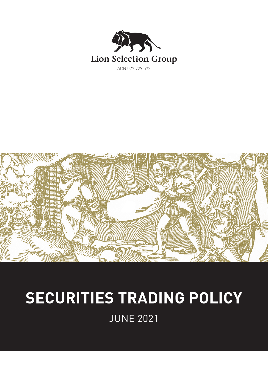



# **SECURITIES TRADING POLICY**

JUNE 2021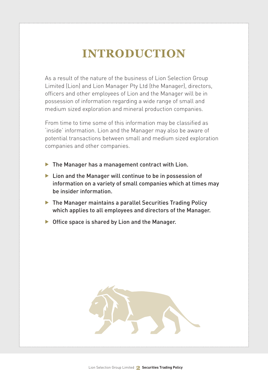# **INTRODUCTION**

As a result of the nature of the business of Lion Selection Group Limited (Lion) and Lion Manager Pty Ltd (the Manager), directors, officers and other employees of Lion and the Manager will be in possession of information regarding a wide range of small and medium sized exploration and mineral production companies.

From time to time some of this information may be classified as 'inside' information. Lion and the Manager may also be aware of potential transactions between small and medium sized exploration companies and other companies.

- $\blacktriangleright$  The Manager has a management contract with Lion.
- $\blacktriangleright$  Lion and the Manager will continue to be in possession of information on a variety of small companies which at times may be insider information.
- $\blacktriangleright$  The Manager maintains a parallel Securities Trading Policy which applies to all employees and directors of the Manager.
- $\triangleright$  Office space is shared by Lion and the Manager.

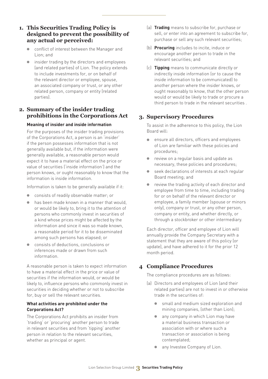#### **1. This Securities Trading Policy is designed to prevent the possibility of any actual or perceived:**

- conflict of interest between the Manager and Lion; and
- insider trading by the directors and employees (and related parties) of Lion. The policy extends to include investments for, or on behalf of the relevant director or employee, spouse, an associated company or trust, or any other related person, company or entity (related parties).

## **2. Summary of the insider trading prohibitions in the Corporations Act**

#### **Meaning of insider and inside information**

For the purposes of the insider trading provisions of the Corporations Act, a person is an 'insider' if the person possesses information that is not generally available but, if the information were generally available, a reasonable person would expect it to have a material effect on the price or value of securities ('inside information') and the person knows, or ought reasonably to know that the information is inside information.

Information is taken to be generally available if it:

- consists of readily observable matter; or
- $\bullet$  has been made known in a manner that would or would be likely to, bring it to the attention of persons who commonly invest in securities of a kind whose prices might be affected by the information and since it was so made known, a reasonable period for it to be disseminated among such persons has elapsed; or
- consists of deductions, conclusions or inferences made or drawn from such information.

A reasonable person is taken to expect information to have a material effect in the price or value of securities if the information would, or would be likely to, influence persons who commonly invest in securities in deciding whether or not to subscribe for, buy or sell the relevant securities.

#### **What activities are prohibited under the Corporations Act?**

The Corporations Act prohibits an insider from 'trading' or 'procuring' another person to trade in relevant securities and from 'tipping' another person in relation to the relevant securities, whether as principal or agent.

- (a) **Trading** means to subscribe for, purchase or sell, or enter into an agreement to subscribe for, purchase or sell any such relevant securities;
- (b) **Procuring** includes to incite, induce or encourage another person to trade in the relevant securities; and
- (c) **Tipping** means to communicate directly or indirectly inside information (or to cause the inside information to be communicated) to another person where the insider knows, or ought reasonably to know, that the other person would or would be likely to trade or procure a third person to trade in the relevant securities .

# **3. Supervisory Procedures**

To assist in the adherence to this policy, the Lion Board will:

- ensure all directors, officers and employees of Lion are familiar with these policies and procedures;
- review on a regular basis and update as necessary, these policies and procedures;
- seek declarations of interests at each regular Board meeting; and
- review the trading activity of each director and employee from time to time, including trading for or on behalf of the relevant director or employee, a family member (spouse or minors only), company or trust, or any other person, company or entity, and whether directly, or through a stockbroker or other intermediary.

Each director, officer and employee of Lion will annually provide the Company Secretary with a statement that they are aware of this policy (or update), and have adhered to it for the prior 12 month period.

# **4 Compliance Procedures**

The compliance procedures are as follows:

- (a) Directors and employees of Lion (and their related parties) are not to invest in or otherwise trade in the securities of:
	- small and medium sized exploration and mining companies, (other than Lion);
	- any company in which Lion may have a material business transaction or association with or where such a transaction or association is being contemplated;
	- any Investee Company of Lion.